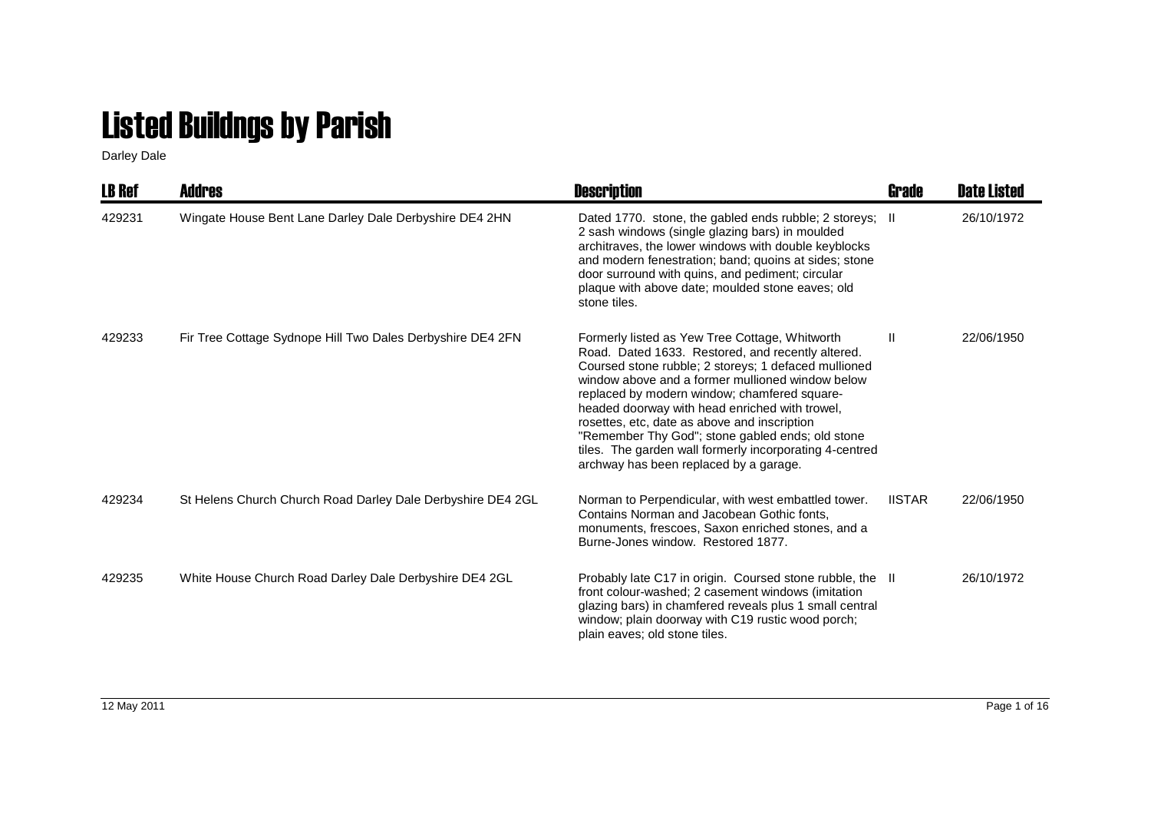## Listed Buildngs by Parish

Darley Dale

| LB Ref | <b>Addres</b>                                               | <b>Description</b>                                                                                                                                                                                                                                                                                                                                                                                                                                                                                                         | Grade         | <b>Date Listed</b> |
|--------|-------------------------------------------------------------|----------------------------------------------------------------------------------------------------------------------------------------------------------------------------------------------------------------------------------------------------------------------------------------------------------------------------------------------------------------------------------------------------------------------------------------------------------------------------------------------------------------------------|---------------|--------------------|
| 429231 | Wingate House Bent Lane Darley Dale Derbyshire DE4 2HN      | Dated 1770. stone, the gabled ends rubble; 2 storeys; II<br>2 sash windows (single glazing bars) in moulded<br>architraves, the lower windows with double keyblocks<br>and modern fenestration; band; quoins at sides; stone<br>door surround with quins, and pediment; circular<br>plaque with above date; moulded stone eaves; old<br>stone tiles.                                                                                                                                                                       |               | 26/10/1972         |
| 429233 | Fir Tree Cottage Sydnope Hill Two Dales Derbyshire DE4 2FN  | Formerly listed as Yew Tree Cottage, Whitworth<br>Road. Dated 1633. Restored, and recently altered.<br>Coursed stone rubble; 2 storeys; 1 defaced mullioned<br>window above and a former mullioned window below<br>replaced by modern window; chamfered square-<br>headed doorway with head enriched with trowel,<br>rosettes, etc, date as above and inscription<br>"Remember Thy God"; stone gabled ends; old stone<br>tiles. The garden wall formerly incorporating 4-centred<br>archway has been replaced by a garage. | Ш             | 22/06/1950         |
| 429234 | St Helens Church Church Road Darley Dale Derbyshire DE4 2GL | Norman to Perpendicular, with west embattled tower.<br>Contains Norman and Jacobean Gothic fonts.<br>monuments, frescoes, Saxon enriched stones, and a<br>Burne-Jones window. Restored 1877.                                                                                                                                                                                                                                                                                                                               | <b>IISTAR</b> | 22/06/1950         |
| 429235 | White House Church Road Darley Dale Derbyshire DE4 2GL      | Probably late C17 in origin. Coursed stone rubble, the II<br>front colour-washed; 2 casement windows (imitation<br>glazing bars) in chamfered reveals plus 1 small central<br>window; plain doorway with C19 rustic wood porch;<br>plain eaves; old stone tiles.                                                                                                                                                                                                                                                           |               | 26/10/1972         |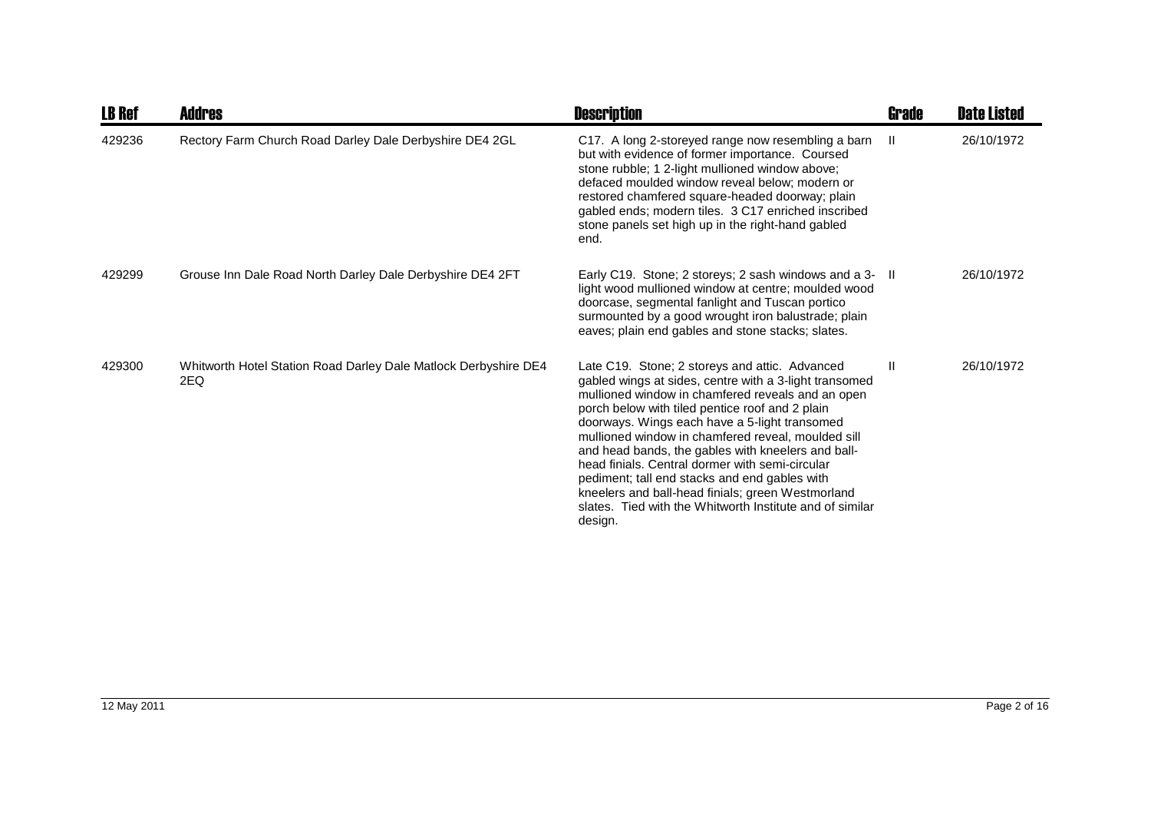| <b>LB Ref</b> | Addres                                                                 | <b>Description</b>                                                                                                                                                                                                                                                                                                                                                                                                                                                                                                                                                                                            | <b>Grade</b>  | <b>Date Listed</b> |
|---------------|------------------------------------------------------------------------|---------------------------------------------------------------------------------------------------------------------------------------------------------------------------------------------------------------------------------------------------------------------------------------------------------------------------------------------------------------------------------------------------------------------------------------------------------------------------------------------------------------------------------------------------------------------------------------------------------------|---------------|--------------------|
| 429236        | Rectory Farm Church Road Darley Dale Derbyshire DE4 2GL                | C17. A long 2-storeyed range now resembling a barn<br>but with evidence of former importance. Coursed<br>stone rubble; 1 2-light mullioned window above;<br>defaced moulded window reveal below: modern or<br>restored chamfered square-headed doorway; plain<br>gabled ends; modern tiles. 3 C17 enriched inscribed<br>stone panels set high up in the right-hand gabled<br>end.                                                                                                                                                                                                                             | $\mathbf{H}$  | 26/10/1972         |
| 429299        | Grouse Inn Dale Road North Darley Dale Derbyshire DE4 2FT              | Early C19. Stone; 2 storeys; 2 sash windows and a 3- II<br>light wood mullioned window at centre; moulded wood<br>doorcase, segmental fanlight and Tuscan portico<br>surmounted by a good wrought iron balustrade; plain<br>eaves; plain end gables and stone stacks; slates.                                                                                                                                                                                                                                                                                                                                 |               | 26/10/1972         |
| 429300        | Whitworth Hotel Station Road Darley Dale Matlock Derbyshire DE4<br>2EQ | Late C19. Stone; 2 storeys and attic. Advanced<br>gabled wings at sides, centre with a 3-light transomed<br>mullioned window in chamfered reveals and an open<br>porch below with tiled pentice roof and 2 plain<br>doorways. Wings each have a 5-light transomed<br>mullioned window in chamfered reveal, moulded sill<br>and head bands, the gables with kneelers and ball-<br>head finials. Central dormer with semi-circular<br>pediment; tall end stacks and end gables with<br>kneelers and ball-head finials; green Westmorland<br>slates. Tied with the Whitworth Institute and of similar<br>design. | $\mathbf{II}$ | 26/10/1972         |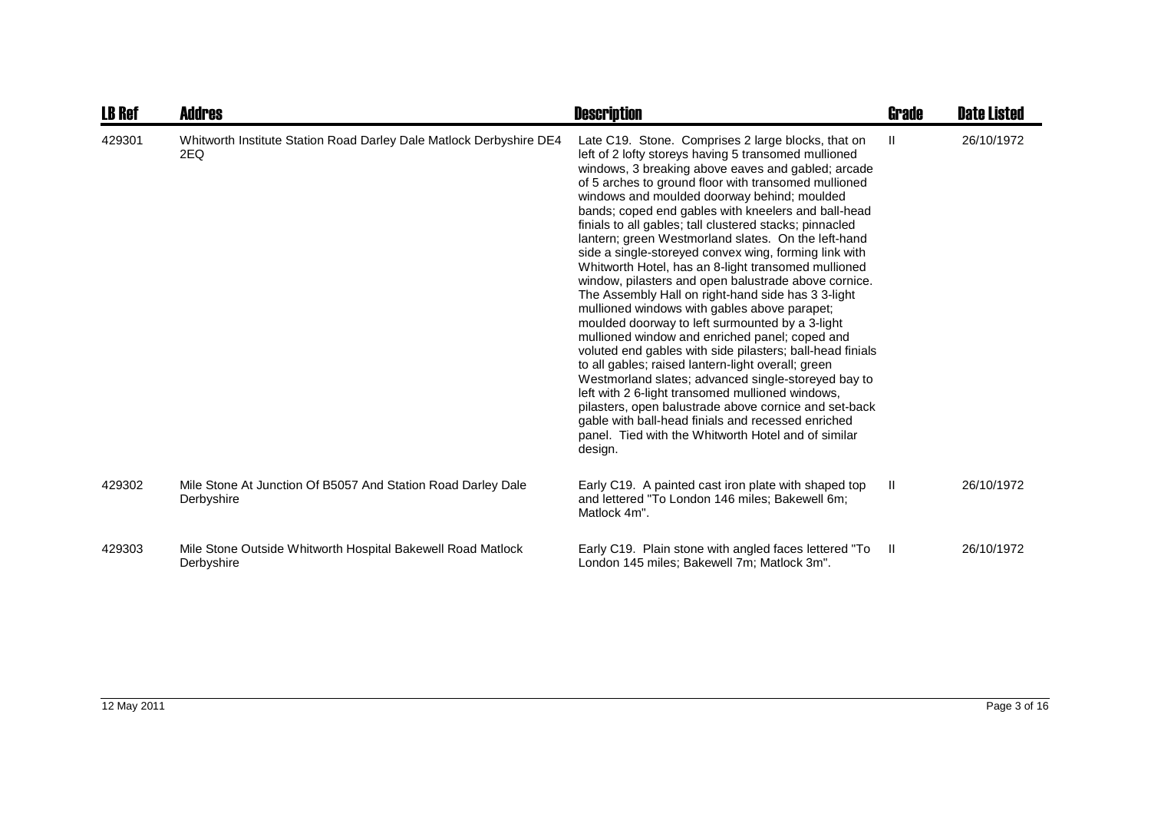| <b>LB Ref</b> | Addres                                                                     | <b>Description</b>                                                                                                                                                                                                                                                                                                                                                                                                                                                                                                                                                                                                                                                                                                                                                                                                                                                                                                                                                                                                                                                                                                                                                                                                                                 | <b>Grade</b> | <b>Date Listed</b> |
|---------------|----------------------------------------------------------------------------|----------------------------------------------------------------------------------------------------------------------------------------------------------------------------------------------------------------------------------------------------------------------------------------------------------------------------------------------------------------------------------------------------------------------------------------------------------------------------------------------------------------------------------------------------------------------------------------------------------------------------------------------------------------------------------------------------------------------------------------------------------------------------------------------------------------------------------------------------------------------------------------------------------------------------------------------------------------------------------------------------------------------------------------------------------------------------------------------------------------------------------------------------------------------------------------------------------------------------------------------------|--------------|--------------------|
| 429301        | Whitworth Institute Station Road Darley Dale Matlock Derbyshire DE4<br>2EQ | Late C19. Stone. Comprises 2 large blocks, that on<br>left of 2 lofty storeys having 5 transomed mullioned<br>windows, 3 breaking above eaves and gabled; arcade<br>of 5 arches to ground floor with transomed mullioned<br>windows and moulded doorway behind; moulded<br>bands; coped end gables with kneelers and ball-head<br>finials to all gables; tall clustered stacks; pinnacled<br>lantern; green Westmorland slates. On the left-hand<br>side a single-storeyed convex wing, forming link with<br>Whitworth Hotel, has an 8-light transomed mullioned<br>window, pilasters and open balustrade above cornice.<br>The Assembly Hall on right-hand side has 3 3-light<br>mullioned windows with gables above parapet;<br>moulded doorway to left surmounted by a 3-light<br>mullioned window and enriched panel; coped and<br>voluted end gables with side pilasters; ball-head finials<br>to all gables; raised lantern-light overall; green<br>Westmorland slates; advanced single-storeyed bay to<br>left with 2 6-light transomed mullioned windows,<br>pilasters, open balustrade above cornice and set-back<br>gable with ball-head finials and recessed enriched<br>panel. Tied with the Whitworth Hotel and of similar<br>design. | $\mathbf{I}$ | 26/10/1972         |
| 429302        | Mile Stone At Junction Of B5057 And Station Road Darley Dale<br>Derbyshire | Early C19. A painted cast iron plate with shaped top<br>and lettered "To London 146 miles; Bakewell 6m;<br>Matlock 4m".                                                                                                                                                                                                                                                                                                                                                                                                                                                                                                                                                                                                                                                                                                                                                                                                                                                                                                                                                                                                                                                                                                                            | Ш            | 26/10/1972         |
| 429303        | Mile Stone Outside Whitworth Hospital Bakewell Road Matlock<br>Derbyshire  | Early C19. Plain stone with angled faces lettered "To<br>London 145 miles: Bakewell 7m; Matlock 3m".                                                                                                                                                                                                                                                                                                                                                                                                                                                                                                                                                                                                                                                                                                                                                                                                                                                                                                                                                                                                                                                                                                                                               | - 11         | 26/10/1972         |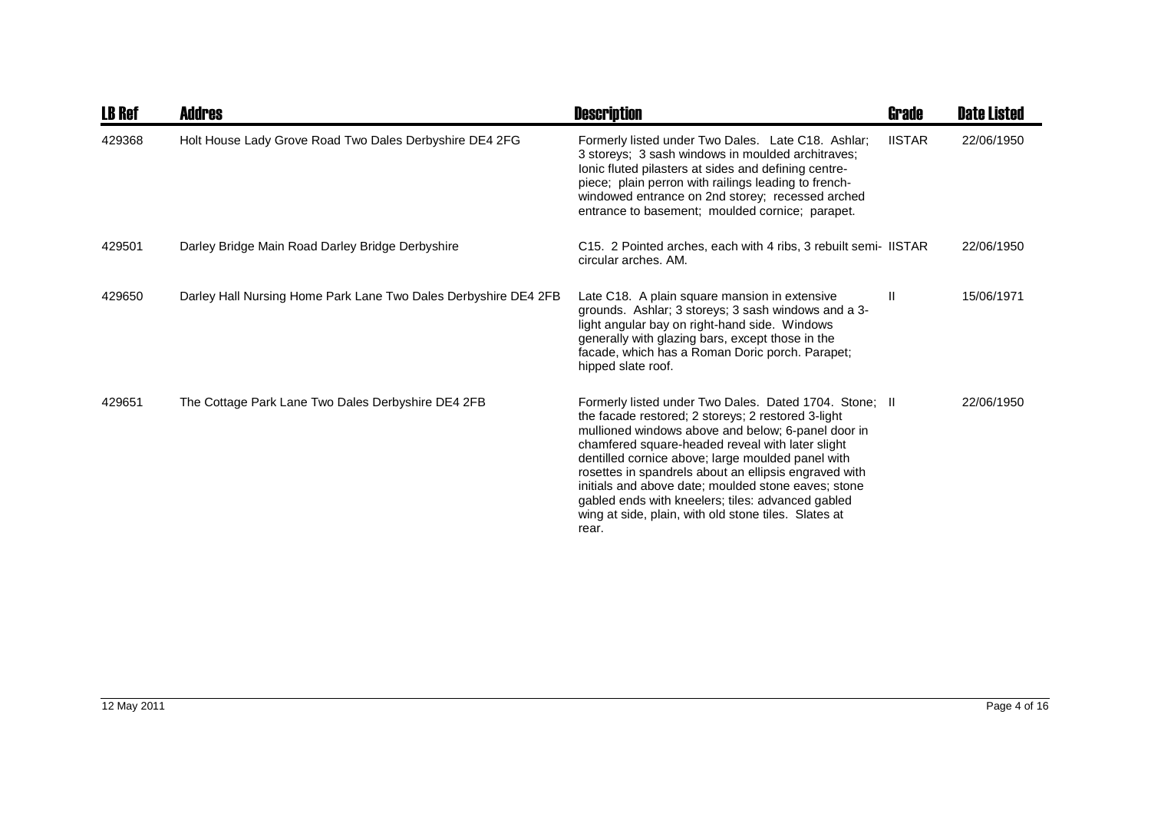| <b>LB Ref</b> | <b>Addres</b>                                                   | <b>Description</b>                                                                                                                                                                                                                                                                                                                                                                                                                                                                                                | Grade         | <b>Date Listed</b> |
|---------------|-----------------------------------------------------------------|-------------------------------------------------------------------------------------------------------------------------------------------------------------------------------------------------------------------------------------------------------------------------------------------------------------------------------------------------------------------------------------------------------------------------------------------------------------------------------------------------------------------|---------------|--------------------|
| 429368        | Holt House Lady Grove Road Two Dales Derbyshire DE4 2FG         | Formerly listed under Two Dales. Late C18. Ashlar;<br>3 storeys; 3 sash windows in moulded architraves;<br>lonic fluted pilasters at sides and defining centre-<br>piece; plain perron with railings leading to french-<br>windowed entrance on 2nd storey; recessed arched<br>entrance to basement; moulded cornice; parapet.                                                                                                                                                                                    | <b>IISTAR</b> | 22/06/1950         |
| 429501        | Darley Bridge Main Road Darley Bridge Derbyshire                | C15. 2 Pointed arches, each with 4 ribs, 3 rebuilt semi- IISTAR<br>circular arches. AM.                                                                                                                                                                                                                                                                                                                                                                                                                           |               | 22/06/1950         |
| 429650        | Darley Hall Nursing Home Park Lane Two Dales Derbyshire DE4 2FB | Late C18. A plain square mansion in extensive<br>grounds. Ashlar; 3 storeys; 3 sash windows and a 3-<br>light angular bay on right-hand side. Windows<br>generally with glazing bars, except those in the<br>facade, which has a Roman Doric porch. Parapet;<br>hipped slate roof.                                                                                                                                                                                                                                | Ш             | 15/06/1971         |
| 429651        | The Cottage Park Lane Two Dales Derbyshire DE4 2FB              | Formerly listed under Two Dales. Dated 1704. Stone; II<br>the facade restored; 2 storeys; 2 restored 3-light<br>mullioned windows above and below; 6-panel door in<br>chamfered square-headed reveal with later slight<br>dentilled cornice above; large moulded panel with<br>rosettes in spandrels about an ellipsis engraved with<br>initials and above date; moulded stone eaves; stone<br>gabled ends with kneelers; tiles: advanced gabled<br>wing at side, plain, with old stone tiles. Slates at<br>rear. |               | 22/06/1950         |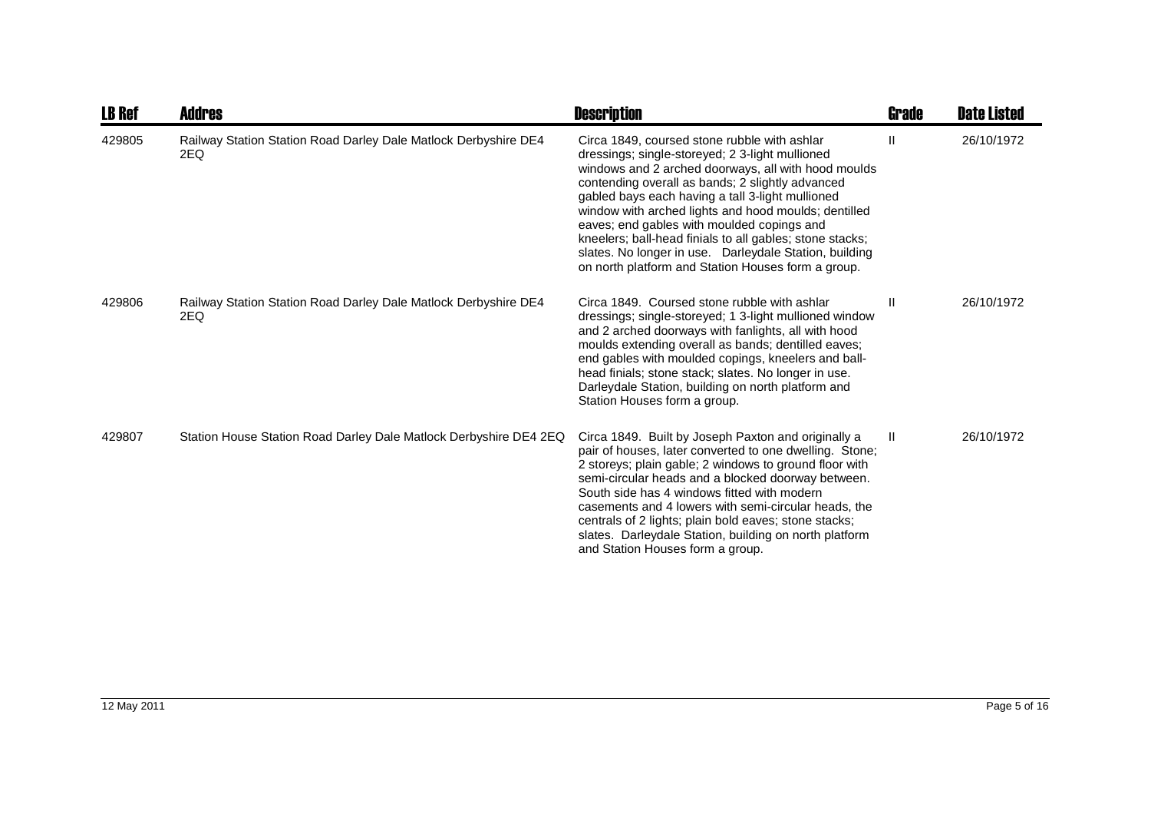| <b>LB Ref</b> | <b>Addres</b>                                                          | <b>Description</b>                                                                                                                                                                                                                                                                                                                                                                                                                                                                                                                               | <b>Grade</b> | <b>Date Listed</b> |
|---------------|------------------------------------------------------------------------|--------------------------------------------------------------------------------------------------------------------------------------------------------------------------------------------------------------------------------------------------------------------------------------------------------------------------------------------------------------------------------------------------------------------------------------------------------------------------------------------------------------------------------------------------|--------------|--------------------|
| 429805        | Railway Station Station Road Darley Dale Matlock Derbyshire DE4<br>2EQ | Circa 1849, coursed stone rubble with ashlar<br>dressings; single-storeyed; 2 3-light mullioned<br>windows and 2 arched doorways, all with hood moulds<br>contending overall as bands; 2 slightly advanced<br>gabled bays each having a tall 3-light mullioned<br>window with arched lights and hood moulds; dentilled<br>eaves; end gables with moulded copings and<br>kneelers; ball-head finials to all gables; stone stacks;<br>slates. No longer in use. Darleydale Station, building<br>on north platform and Station Houses form a group. | $\mathbf{I}$ | 26/10/1972         |
| 429806        | Railway Station Station Road Darley Dale Matlock Derbyshire DE4<br>2EQ | Circa 1849. Coursed stone rubble with ashlar<br>dressings; single-storeyed; 1 3-light mullioned window<br>and 2 arched doorways with fanlights, all with hood<br>moulds extending overall as bands; dentilled eaves;<br>end gables with moulded copings, kneelers and ball-<br>head finials; stone stack; slates. No longer in use.<br>Darleydale Station, building on north platform and<br>Station Houses form a group.                                                                                                                        | Ш            | 26/10/1972         |
| 429807        | Station House Station Road Darley Dale Matlock Derbyshire DE4 2EQ      | Circa 1849. Built by Joseph Paxton and originally a<br>pair of houses, later converted to one dwelling. Stone;<br>2 storeys; plain gable; 2 windows to ground floor with<br>semi-circular heads and a blocked doorway between.<br>South side has 4 windows fitted with modern<br>casements and 4 lowers with semi-circular heads, the<br>centrals of 2 lights; plain bold eaves; stone stacks;<br>slates. Darleydale Station, building on north platform<br>and Station Houses form a group.                                                     | $\mathbf{I}$ | 26/10/1972         |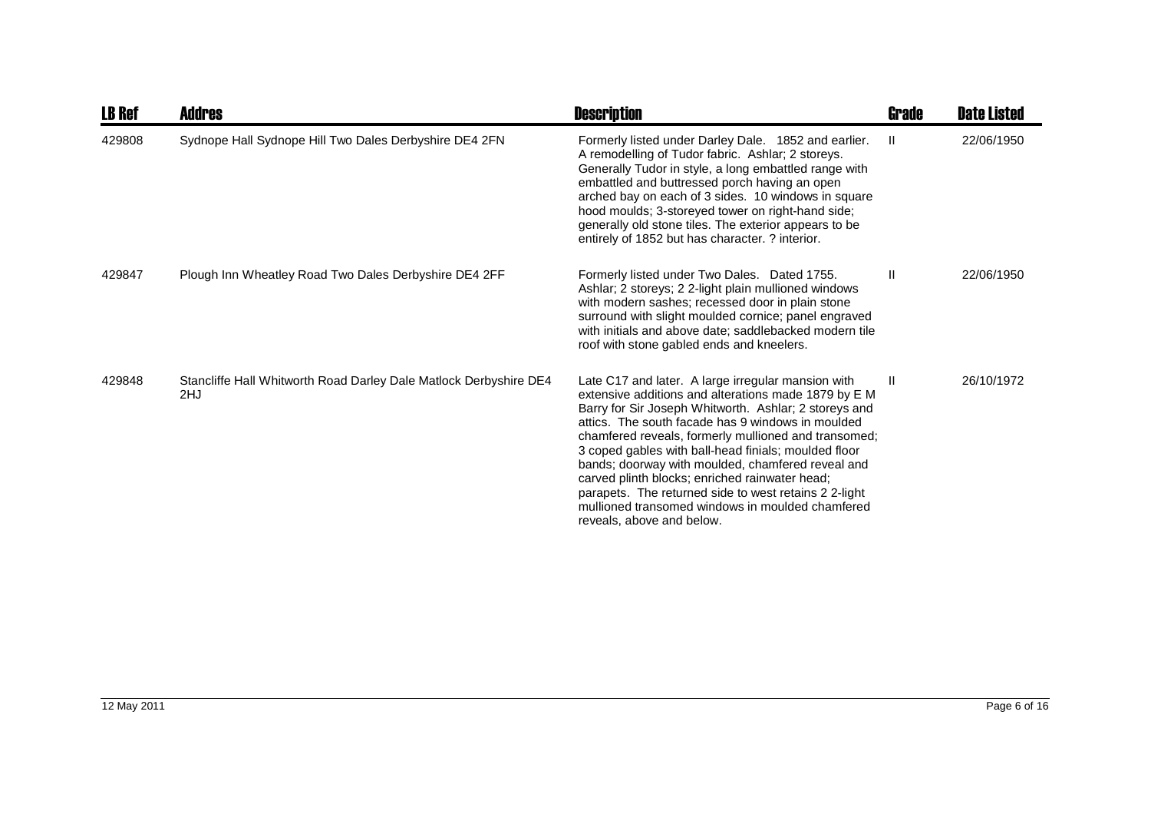| <b>LB Ref</b> | Addres                                                                   | <b>Description</b>                                                                                                                                                                                                                                                                                                                                                                                                                                                                                                                                                                        | <b>Grade</b>  | <b>Date Listed</b> |
|---------------|--------------------------------------------------------------------------|-------------------------------------------------------------------------------------------------------------------------------------------------------------------------------------------------------------------------------------------------------------------------------------------------------------------------------------------------------------------------------------------------------------------------------------------------------------------------------------------------------------------------------------------------------------------------------------------|---------------|--------------------|
| 429808        | Sydnope Hall Sydnope Hill Two Dales Derbyshire DE4 2FN                   | Formerly listed under Darley Dale. 1852 and earlier.<br>A remodelling of Tudor fabric. Ashlar; 2 storeys.<br>Generally Tudor in style, a long embattled range with<br>embattled and buttressed porch having an open<br>arched bay on each of 3 sides. 10 windows in square<br>hood moulds; 3-storeyed tower on right-hand side;<br>generally old stone tiles. The exterior appears to be<br>entirely of 1852 but has character. ? interior.                                                                                                                                               | $\mathbf{II}$ | 22/06/1950         |
| 429847        | Plough Inn Wheatley Road Two Dales Derbyshire DE4 2FF                    | Formerly listed under Two Dales. Dated 1755.<br>Ashlar; 2 storeys; 2 2-light plain mullioned windows<br>with modern sashes; recessed door in plain stone<br>surround with slight moulded cornice; panel engraved<br>with initials and above date; saddlebacked modern tile<br>roof with stone gabled ends and kneelers.                                                                                                                                                                                                                                                                   | Ш             | 22/06/1950         |
| 429848        | Stancliffe Hall Whitworth Road Darley Dale Matlock Derbyshire DE4<br>2HJ | Late C17 and later. A large irregular mansion with<br>extensive additions and alterations made 1879 by E M<br>Barry for Sir Joseph Whitworth. Ashlar; 2 storeys and<br>attics. The south facade has 9 windows in moulded<br>chamfered reveals, formerly mullioned and transomed;<br>3 coped gables with ball-head finials; moulded floor<br>bands; doorway with moulded, chamfered reveal and<br>carved plinth blocks; enriched rainwater head;<br>parapets. The returned side to west retains 2 2-light<br>mullioned transomed windows in moulded chamfered<br>reveals, above and below. | $\mathbf{H}$  | 26/10/1972         |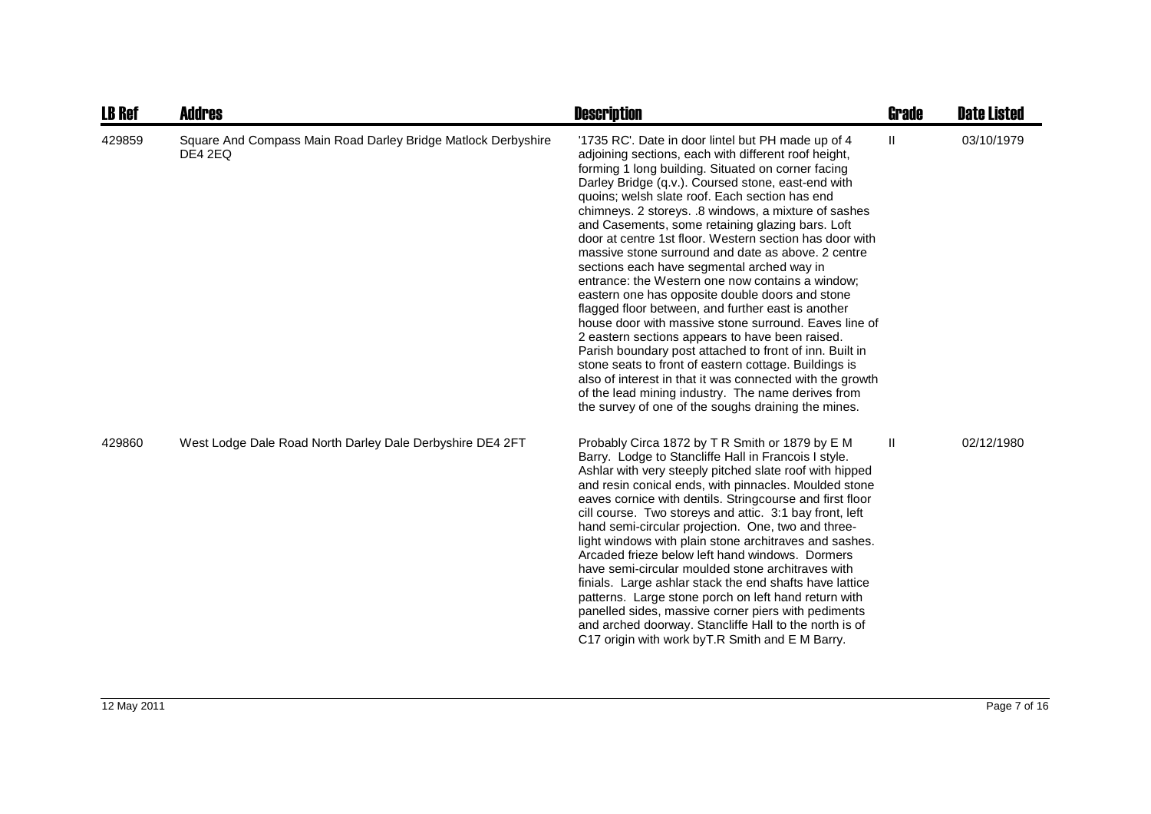| <b>LB Ref</b> | <b>Addres</b>                                                            | <b>Description</b>                                                                                                                                                                                                                                                                                                                                                                                                                                                                                                                                                                                                                                                                                                                                                                                                                                                                                                                                                                                                                                                                                                         | <b>Grade</b>  | <b>Date Listed</b> |
|---------------|--------------------------------------------------------------------------|----------------------------------------------------------------------------------------------------------------------------------------------------------------------------------------------------------------------------------------------------------------------------------------------------------------------------------------------------------------------------------------------------------------------------------------------------------------------------------------------------------------------------------------------------------------------------------------------------------------------------------------------------------------------------------------------------------------------------------------------------------------------------------------------------------------------------------------------------------------------------------------------------------------------------------------------------------------------------------------------------------------------------------------------------------------------------------------------------------------------------|---------------|--------------------|
| 429859        | Square And Compass Main Road Darley Bridge Matlock Derbyshire<br>DE4 2EQ | '1735 RC'. Date in door lintel but PH made up of 4<br>adjoining sections, each with different roof height,<br>forming 1 long building. Situated on corner facing<br>Darley Bridge (q.v.). Coursed stone, east-end with<br>quoins; welsh slate roof. Each section has end<br>chimneys. 2 storeys. .8 windows, a mixture of sashes<br>and Casements, some retaining glazing bars. Loft<br>door at centre 1st floor. Western section has door with<br>massive stone surround and date as above, 2 centre<br>sections each have segmental arched way in<br>entrance: the Western one now contains a window;<br>eastern one has opposite double doors and stone<br>flagged floor between, and further east is another<br>house door with massive stone surround. Eaves line of<br>2 eastern sections appears to have been raised.<br>Parish boundary post attached to front of inn. Built in<br>stone seats to front of eastern cottage. Buildings is<br>also of interest in that it was connected with the growth<br>of the lead mining industry. The name derives from<br>the survey of one of the soughs draining the mines. | $\mathbf{II}$ | 03/10/1979         |
| 429860        | West Lodge Dale Road North Darley Dale Derbyshire DE4 2FT                | Probably Circa 1872 by T R Smith or 1879 by E M<br>Barry. Lodge to Stancliffe Hall in Francois I style.<br>Ashlar with very steeply pitched slate roof with hipped<br>and resin conical ends, with pinnacles. Moulded stone<br>eaves cornice with dentils. Stringcourse and first floor<br>cill course. Two storeys and attic. 3:1 bay front, left<br>hand semi-circular projection. One, two and three-<br>light windows with plain stone architraves and sashes.<br>Arcaded frieze below left hand windows. Dormers<br>have semi-circular moulded stone architraves with<br>finials. Large ashlar stack the end shafts have lattice<br>patterns. Large stone porch on left hand return with<br>panelled sides, massive corner piers with pediments<br>and arched doorway. Stancliffe Hall to the north is of<br>C17 origin with work by T.R Smith and E M Barry.                                                                                                                                                                                                                                                         | $\mathbf{H}$  | 02/12/1980         |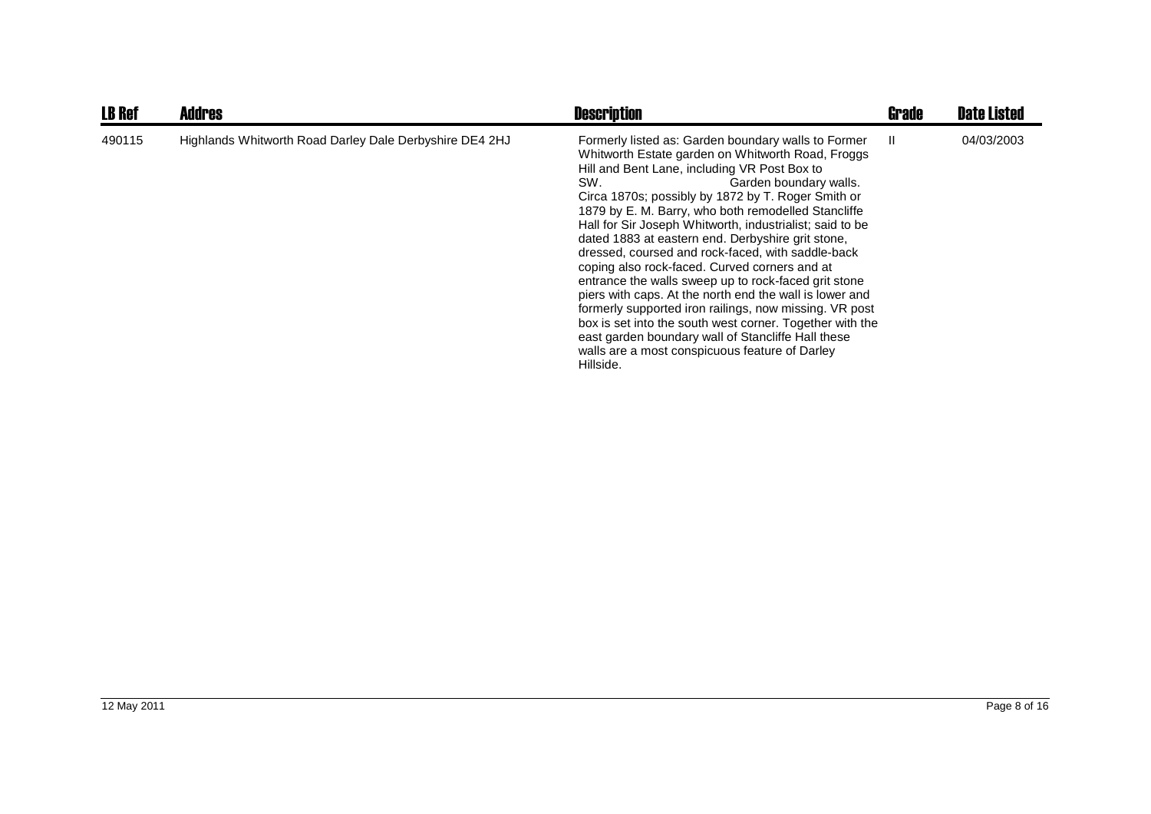| <b>LB Ref</b> | <b>Addres</b>                                           | <b>Description</b>                                                                                                                                                                                                                                                                                                                                                                                                                                                                                                                                                                                                                                                                                                                                                                                                                                                                          | <b>Grade</b> | <b>Date Listed</b> |
|---------------|---------------------------------------------------------|---------------------------------------------------------------------------------------------------------------------------------------------------------------------------------------------------------------------------------------------------------------------------------------------------------------------------------------------------------------------------------------------------------------------------------------------------------------------------------------------------------------------------------------------------------------------------------------------------------------------------------------------------------------------------------------------------------------------------------------------------------------------------------------------------------------------------------------------------------------------------------------------|--------------|--------------------|
| 490115        | Highlands Whitworth Road Darley Dale Derbyshire DE4 2HJ | Formerly listed as: Garden boundary walls to Former<br>Whitworth Estate garden on Whitworth Road, Froggs<br>Hill and Bent Lane, including VR Post Box to<br>SW.<br>Garden boundary walls.<br>Circa 1870s; possibly by 1872 by T. Roger Smith or<br>1879 by E. M. Barry, who both remodelled Stancliffe<br>Hall for Sir Joseph Whitworth, industrialist; said to be<br>dated 1883 at eastern end. Derbyshire grit stone,<br>dressed, coursed and rock-faced, with saddle-back<br>coping also rock-faced. Curved corners and at<br>entrance the walls sweep up to rock-faced grit stone<br>piers with caps. At the north end the wall is lower and<br>formerly supported iron railings, now missing. VR post<br>box is set into the south west corner. Together with the<br>east garden boundary wall of Stancliffe Hall these<br>walls are a most conspicuous feature of Darley<br>Hillside. | H.           | 04/03/2003         |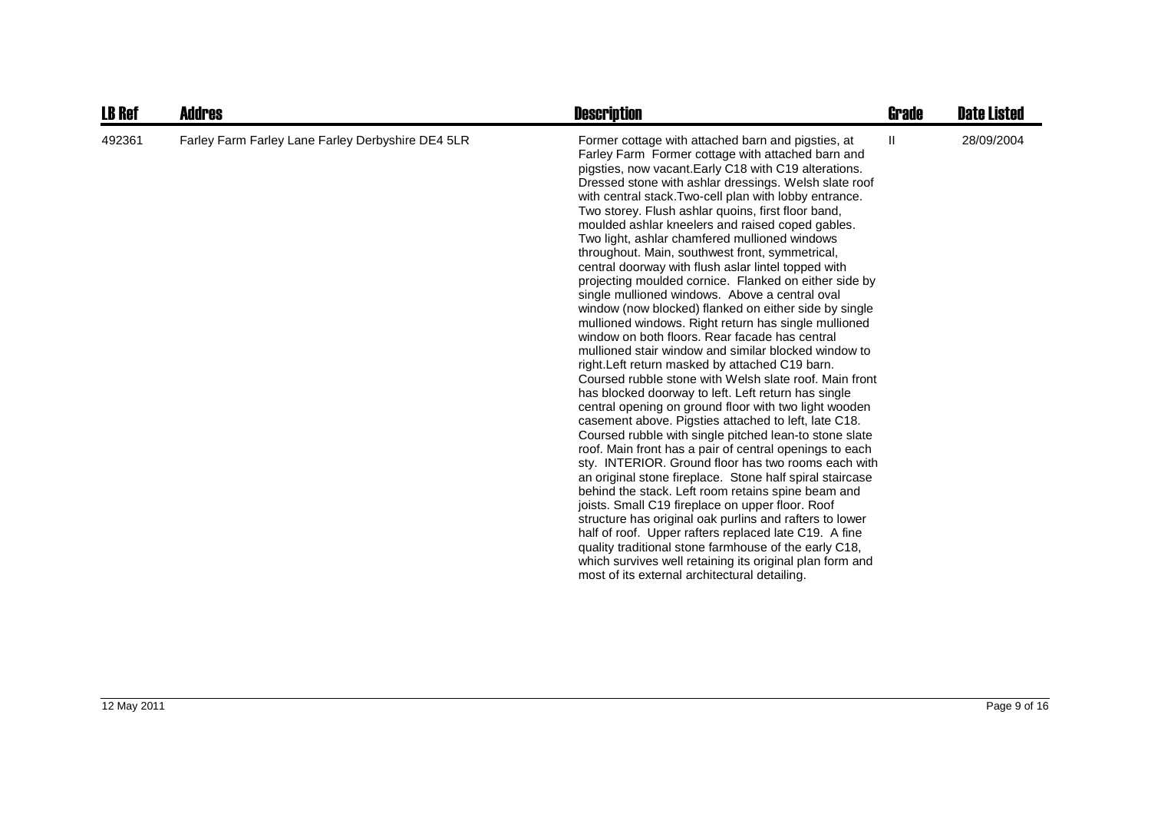| <b>LB Ref</b> | <b>Addres</b>                                     | <b>Description</b>                                                                                                                                                                                                                                                                                                                                                                                                                                                                                                                                                                                                                                                                                                                                                                                                                                                                                                                                                                                                                                                                                                                                                                                                                                                                                                                                                                                                                                                                                                                                                                                                                                                                                                                                                                                                              | <b>Grade</b>  | <b>Date Listed</b> |
|---------------|---------------------------------------------------|---------------------------------------------------------------------------------------------------------------------------------------------------------------------------------------------------------------------------------------------------------------------------------------------------------------------------------------------------------------------------------------------------------------------------------------------------------------------------------------------------------------------------------------------------------------------------------------------------------------------------------------------------------------------------------------------------------------------------------------------------------------------------------------------------------------------------------------------------------------------------------------------------------------------------------------------------------------------------------------------------------------------------------------------------------------------------------------------------------------------------------------------------------------------------------------------------------------------------------------------------------------------------------------------------------------------------------------------------------------------------------------------------------------------------------------------------------------------------------------------------------------------------------------------------------------------------------------------------------------------------------------------------------------------------------------------------------------------------------------------------------------------------------------------------------------------------------|---------------|--------------------|
| 492361        | Farley Farm Farley Lane Farley Derbyshire DE4 5LR | Former cottage with attached barn and pigsties, at<br>Farley Farm Former cottage with attached barn and<br>pigsties, now vacant. Early C18 with C19 alterations.<br>Dressed stone with ashlar dressings. Welsh slate roof<br>with central stack. Two-cell plan with lobby entrance.<br>Two storey. Flush ashlar quoins, first floor band,<br>moulded ashlar kneelers and raised coped gables.<br>Two light, ashlar chamfered mullioned windows<br>throughout. Main, southwest front, symmetrical,<br>central doorway with flush aslar lintel topped with<br>projecting moulded cornice. Flanked on either side by<br>single mullioned windows. Above a central oval<br>window (now blocked) flanked on either side by single<br>mullioned windows. Right return has single mullioned<br>window on both floors. Rear facade has central<br>mullioned stair window and similar blocked window to<br>right. Left return masked by attached C19 barn.<br>Coursed rubble stone with Welsh slate roof. Main front<br>has blocked doorway to left. Left return has single<br>central opening on ground floor with two light wooden<br>casement above. Pigsties attached to left, late C18.<br>Coursed rubble with single pitched lean-to stone slate<br>roof. Main front has a pair of central openings to each<br>sty. INTERIOR. Ground floor has two rooms each with<br>an original stone fireplace. Stone half spiral staircase<br>behind the stack. Left room retains spine beam and<br>joists. Small C19 fireplace on upper floor. Roof<br>structure has original oak purlins and rafters to lower<br>half of roof. Upper rafters replaced late C19. A fine<br>quality traditional stone farmhouse of the early C18,<br>which survives well retaining its original plan form and<br>most of its external architectural detailing. | $\mathbf{II}$ | 28/09/2004         |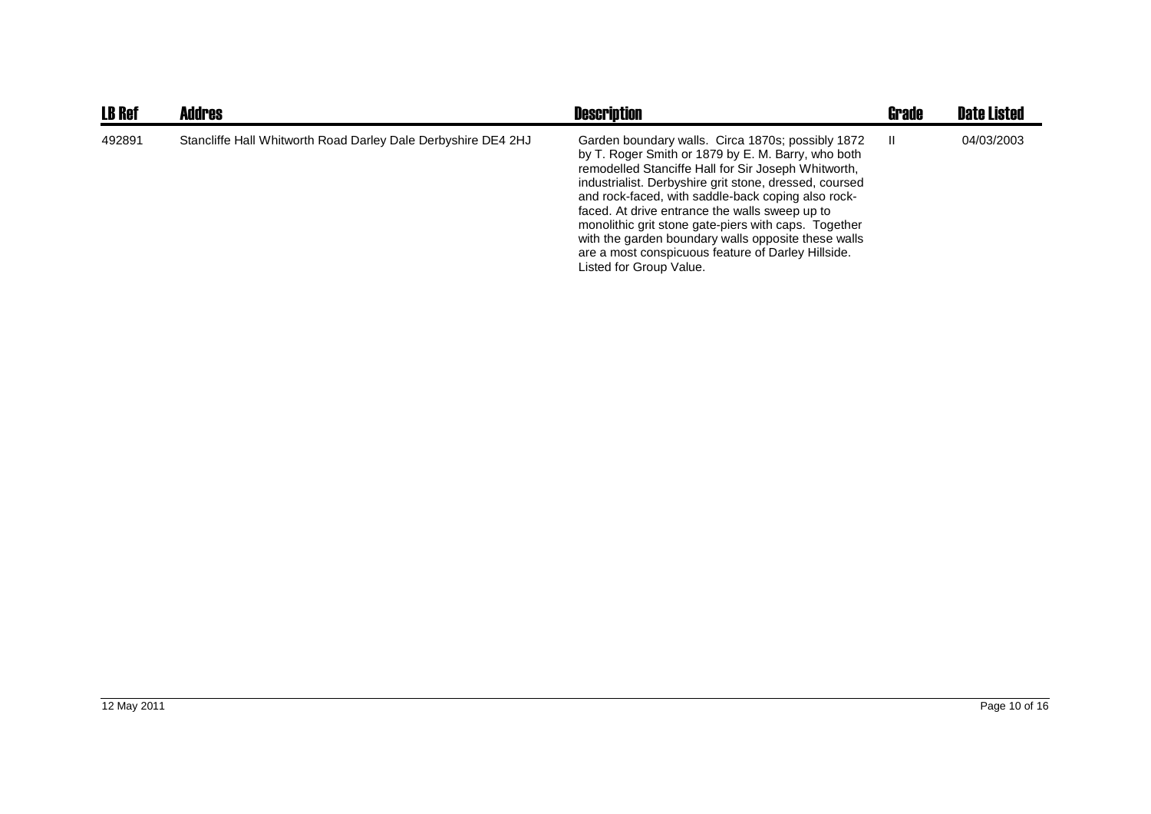| <b>LB Ref</b> | <b>Addres</b>                                                 | <b>Description</b>                                                                                                                                                                                                                                                                                                                                                                                                                                                                                                               | <b>Grade</b> | <b>Date Listed</b> |
|---------------|---------------------------------------------------------------|----------------------------------------------------------------------------------------------------------------------------------------------------------------------------------------------------------------------------------------------------------------------------------------------------------------------------------------------------------------------------------------------------------------------------------------------------------------------------------------------------------------------------------|--------------|--------------------|
| 492891        | Stancliffe Hall Whitworth Road Darley Dale Derbyshire DE4 2HJ | Garden boundary walls. Circa 1870s; possibly 1872<br>by T. Roger Smith or 1879 by E. M. Barry, who both<br>remodelled Stanciffe Hall for Sir Joseph Whitworth,<br>industrialist. Derbyshire grit stone, dressed, coursed<br>and rock-faced, with saddle-back coping also rock-<br>faced. At drive entrance the walls sweep up to<br>monolithic grit stone gate-piers with caps. Together<br>with the garden boundary walls opposite these walls<br>are a most conspicuous feature of Darley Hillside.<br>Listed for Group Value. | Ш            | 04/03/2003         |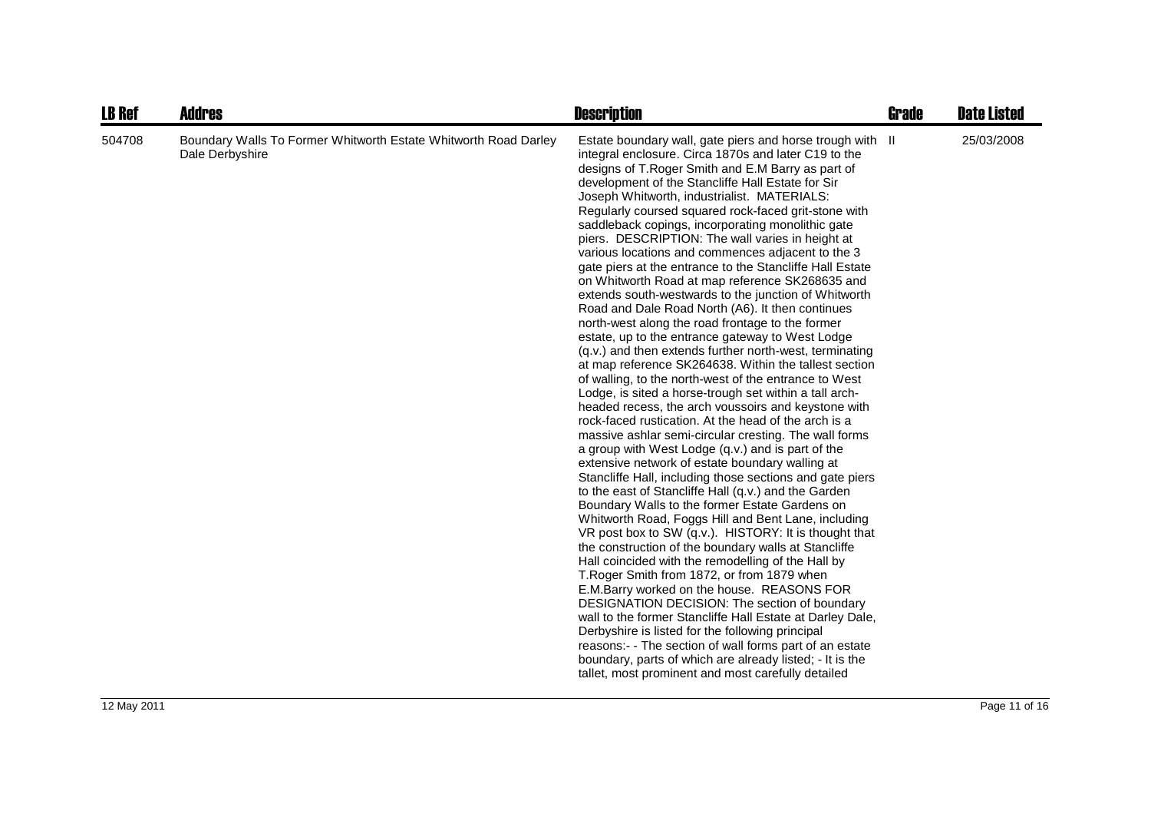| <b>LB Ref</b> | <b>Addres</b>                                                                      | <b>Description</b>                                                                                                                                                                                                                                                                                                                                                                                                                                                                                                                                                                                                                                                                                                                                                                                                                                                                                                                                                                                                                                                                                                                                                                                                                                                                                                                                                                                                                                                                                                                                                                                                                                                                                                                                                                                                                                                                                                                                                                                                                                                                                                                                                                                          | <b>Grade</b> | <b>Date Listed</b> |
|---------------|------------------------------------------------------------------------------------|-------------------------------------------------------------------------------------------------------------------------------------------------------------------------------------------------------------------------------------------------------------------------------------------------------------------------------------------------------------------------------------------------------------------------------------------------------------------------------------------------------------------------------------------------------------------------------------------------------------------------------------------------------------------------------------------------------------------------------------------------------------------------------------------------------------------------------------------------------------------------------------------------------------------------------------------------------------------------------------------------------------------------------------------------------------------------------------------------------------------------------------------------------------------------------------------------------------------------------------------------------------------------------------------------------------------------------------------------------------------------------------------------------------------------------------------------------------------------------------------------------------------------------------------------------------------------------------------------------------------------------------------------------------------------------------------------------------------------------------------------------------------------------------------------------------------------------------------------------------------------------------------------------------------------------------------------------------------------------------------------------------------------------------------------------------------------------------------------------------------------------------------------------------------------------------------------------------|--------------|--------------------|
| 504708        | Boundary Walls To Former Whitworth Estate Whitworth Road Darley<br>Dale Derbyshire | Estate boundary wall, gate piers and horse trough with II<br>integral enclosure. Circa 1870s and later C19 to the<br>designs of T. Roger Smith and E.M Barry as part of<br>development of the Stancliffe Hall Estate for Sir<br>Joseph Whitworth, industrialist. MATERIALS:<br>Regularly coursed squared rock-faced grit-stone with<br>saddleback copings, incorporating monolithic gate<br>piers. DESCRIPTION: The wall varies in height at<br>various locations and commences adjacent to the 3<br>gate piers at the entrance to the Stancliffe Hall Estate<br>on Whitworth Road at map reference SK268635 and<br>extends south-westwards to the junction of Whitworth<br>Road and Dale Road North (A6). It then continues<br>north-west along the road frontage to the former<br>estate, up to the entrance gateway to West Lodge<br>(q.v.) and then extends further north-west, terminating<br>at map reference SK264638. Within the tallest section<br>of walling, to the north-west of the entrance to West<br>Lodge, is sited a horse-trough set within a tall arch-<br>headed recess, the arch voussoirs and keystone with<br>rock-faced rustication. At the head of the arch is a<br>massive ashlar semi-circular cresting. The wall forms<br>a group with West Lodge (q.v.) and is part of the<br>extensive network of estate boundary walling at<br>Stancliffe Hall, including those sections and gate piers<br>to the east of Stancliffe Hall (q.v.) and the Garden<br>Boundary Walls to the former Estate Gardens on<br>Whitworth Road, Foggs Hill and Bent Lane, including<br>VR post box to SW (q.v.). HISTORY: It is thought that<br>the construction of the boundary walls at Stancliffe<br>Hall coincided with the remodelling of the Hall by<br>T. Roger Smith from 1872, or from 1879 when<br>E.M.Barry worked on the house. REASONS FOR<br>DESIGNATION DECISION: The section of boundary<br>wall to the former Stancliffe Hall Estate at Darley Dale,<br>Derbyshire is listed for the following principal<br>reasons:- - The section of wall forms part of an estate<br>boundary, parts of which are already listed; - It is the<br>tallet, most prominent and most carefully detailed |              | 25/03/2008         |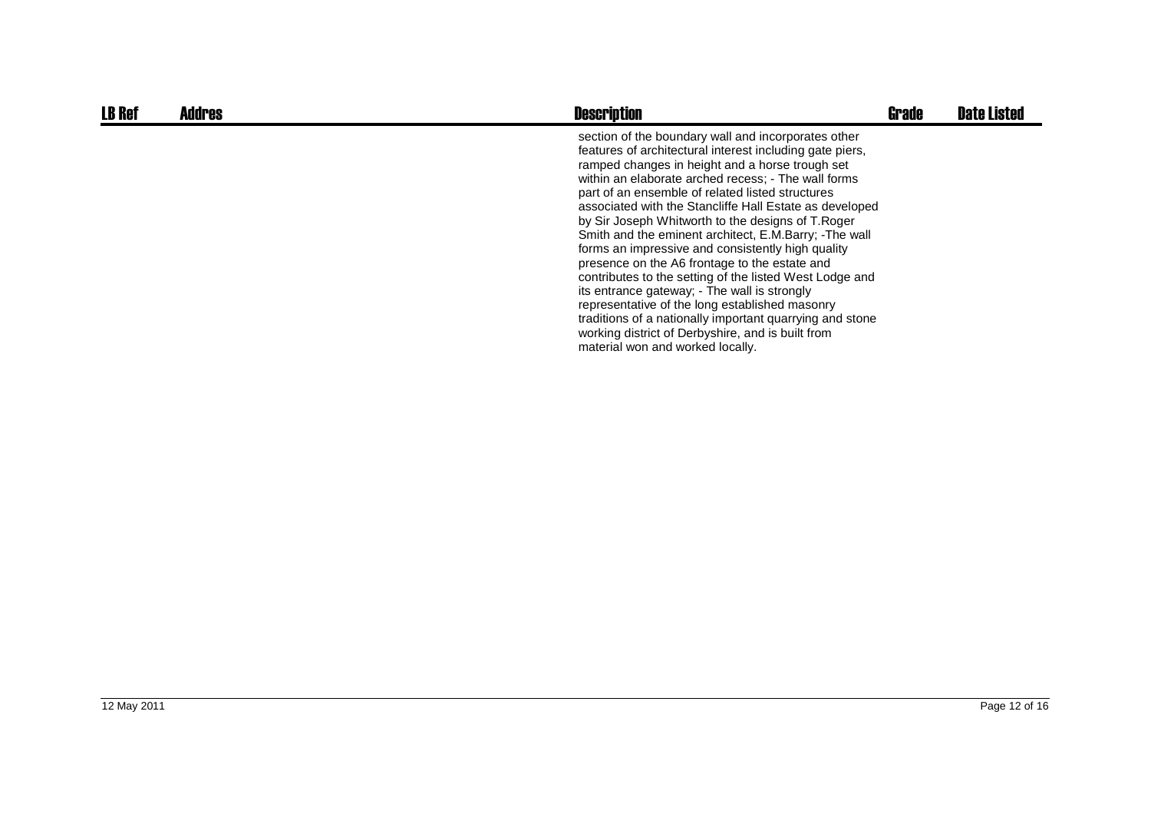| <b>LB Ref</b> | <b>Addres</b> | <b>Description</b>                                                                                                                                                                                                                                                                                                                                                                                                                                                                                                                                                                                                                                                                                                                                                                                                                                                             | <b>Grade</b> | <b>Date Listed</b> |
|---------------|---------------|--------------------------------------------------------------------------------------------------------------------------------------------------------------------------------------------------------------------------------------------------------------------------------------------------------------------------------------------------------------------------------------------------------------------------------------------------------------------------------------------------------------------------------------------------------------------------------------------------------------------------------------------------------------------------------------------------------------------------------------------------------------------------------------------------------------------------------------------------------------------------------|--------------|--------------------|
|               |               | section of the boundary wall and incorporates other<br>features of architectural interest including gate piers,<br>ramped changes in height and a horse trough set<br>within an elaborate arched recess; - The wall forms<br>part of an ensemble of related listed structures<br>associated with the Stancliffe Hall Estate as developed<br>by Sir Joseph Whitworth to the designs of T.Roger<br>Smith and the eminent architect, E.M.Barry; -The wall<br>forms an impressive and consistently high quality<br>presence on the A6 frontage to the estate and<br>contributes to the setting of the listed West Lodge and<br>its entrance gateway; - The wall is strongly<br>representative of the long established masonry<br>traditions of a nationally important quarrying and stone<br>working district of Derbyshire, and is built from<br>material won and worked locally. |              |                    |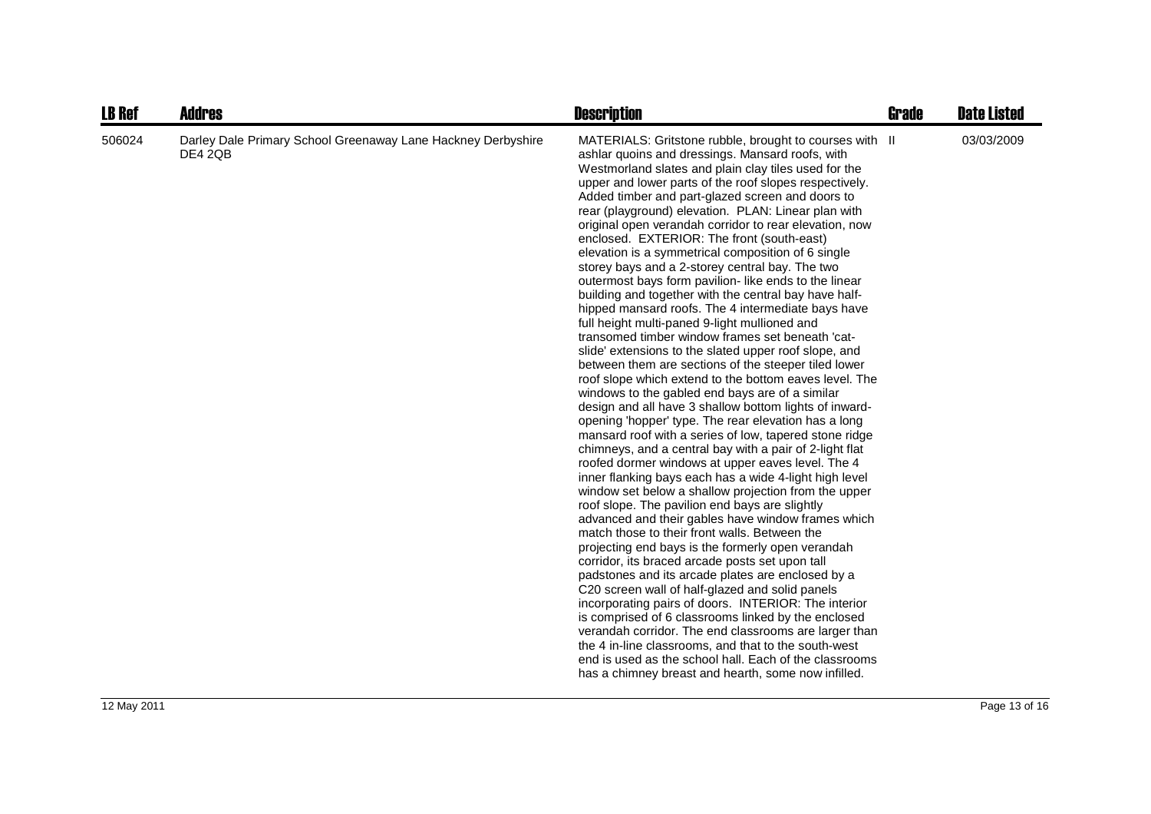| <b>LB Ref</b> | <b>Addres</b>                                                                  | <b>Description</b>                                                                                                                                                                                                                                                                                                                                                                                                                                                                                                                                                                                                                                                                                                                                                                                                                                                                                                                                                                                                                                                                                                                                                                                                                                                                                                                                                                                                                                                                                                                                                                                                                                                                                                                                                                                                                                                                                                                                                                                                                                                                                                                                                                                           | Grade | <b>Date Listed</b> |
|---------------|--------------------------------------------------------------------------------|--------------------------------------------------------------------------------------------------------------------------------------------------------------------------------------------------------------------------------------------------------------------------------------------------------------------------------------------------------------------------------------------------------------------------------------------------------------------------------------------------------------------------------------------------------------------------------------------------------------------------------------------------------------------------------------------------------------------------------------------------------------------------------------------------------------------------------------------------------------------------------------------------------------------------------------------------------------------------------------------------------------------------------------------------------------------------------------------------------------------------------------------------------------------------------------------------------------------------------------------------------------------------------------------------------------------------------------------------------------------------------------------------------------------------------------------------------------------------------------------------------------------------------------------------------------------------------------------------------------------------------------------------------------------------------------------------------------------------------------------------------------------------------------------------------------------------------------------------------------------------------------------------------------------------------------------------------------------------------------------------------------------------------------------------------------------------------------------------------------------------------------------------------------------------------------------------------------|-------|--------------------|
| 506024        | Darley Dale Primary School Greenaway Lane Hackney Derbyshire<br><b>DE4 2QB</b> | MATERIALS: Gritstone rubble, brought to courses with II<br>ashlar quoins and dressings. Mansard roofs, with<br>Westmorland slates and plain clay tiles used for the<br>upper and lower parts of the roof slopes respectively.<br>Added timber and part-glazed screen and doors to<br>rear (playground) elevation. PLAN: Linear plan with<br>original open verandah corridor to rear elevation, now<br>enclosed. EXTERIOR: The front (south-east)<br>elevation is a symmetrical composition of 6 single<br>storey bays and a 2-storey central bay. The two<br>outermost bays form pavilion- like ends to the linear<br>building and together with the central bay have half-<br>hipped mansard roofs. The 4 intermediate bays have<br>full height multi-paned 9-light mullioned and<br>transomed timber window frames set beneath 'cat-<br>slide' extensions to the slated upper roof slope, and<br>between them are sections of the steeper tiled lower<br>roof slope which extend to the bottom eaves level. The<br>windows to the gabled end bays are of a similar<br>design and all have 3 shallow bottom lights of inward-<br>opening 'hopper' type. The rear elevation has a long<br>mansard roof with a series of low, tapered stone ridge<br>chimneys, and a central bay with a pair of 2-light flat<br>roofed dormer windows at upper eaves level. The 4<br>inner flanking bays each has a wide 4-light high level<br>window set below a shallow projection from the upper<br>roof slope. The pavilion end bays are slightly<br>advanced and their gables have window frames which<br>match those to their front walls. Between the<br>projecting end bays is the formerly open verandah<br>corridor, its braced arcade posts set upon tall<br>padstones and its arcade plates are enclosed by a<br>C20 screen wall of half-glazed and solid panels<br>incorporating pairs of doors. INTERIOR: The interior<br>is comprised of 6 classrooms linked by the enclosed<br>verandah corridor. The end classrooms are larger than<br>the 4 in-line classrooms, and that to the south-west<br>end is used as the school hall. Each of the classrooms<br>has a chimney breast and hearth, some now infilled. |       | 03/03/2009         |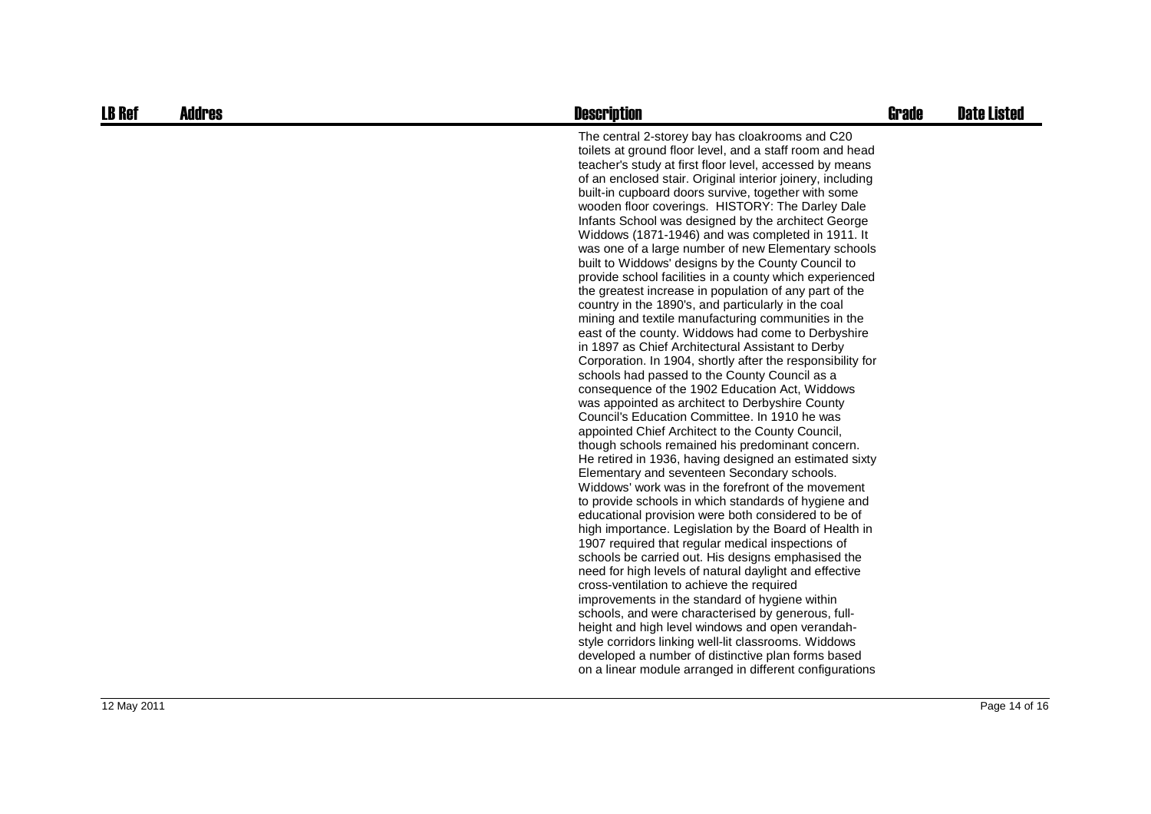| <b>LB Ref</b> | <b>Addres</b> | <b>Description</b>                                                                                                                                                                                                                                                                                                                                                                                                                                                                                                                                                                                                                                                                                                                                                                                                                                                                                                                                                                                                                                                                                                                                                                                                                                                                                                                                                                                                                                                                                                                                                                                                                                                                                                                                                                                                                                                                                                                                                                                                                                                                                                                                                                                 | <b>Grade</b> | <b>Date Listed</b> |
|---------------|---------------|----------------------------------------------------------------------------------------------------------------------------------------------------------------------------------------------------------------------------------------------------------------------------------------------------------------------------------------------------------------------------------------------------------------------------------------------------------------------------------------------------------------------------------------------------------------------------------------------------------------------------------------------------------------------------------------------------------------------------------------------------------------------------------------------------------------------------------------------------------------------------------------------------------------------------------------------------------------------------------------------------------------------------------------------------------------------------------------------------------------------------------------------------------------------------------------------------------------------------------------------------------------------------------------------------------------------------------------------------------------------------------------------------------------------------------------------------------------------------------------------------------------------------------------------------------------------------------------------------------------------------------------------------------------------------------------------------------------------------------------------------------------------------------------------------------------------------------------------------------------------------------------------------------------------------------------------------------------------------------------------------------------------------------------------------------------------------------------------------------------------------------------------------------------------------------------------------|--------------|--------------------|
|               |               | The central 2-storey bay has cloakrooms and C20<br>toilets at ground floor level, and a staff room and head<br>teacher's study at first floor level, accessed by means<br>of an enclosed stair. Original interior joinery, including<br>built-in cupboard doors survive, together with some<br>wooden floor coverings. HISTORY: The Darley Dale<br>Infants School was designed by the architect George<br>Widdows (1871-1946) and was completed in 1911. It<br>was one of a large number of new Elementary schools<br>built to Widdows' designs by the County Council to<br>provide school facilities in a county which experienced<br>the greatest increase in population of any part of the<br>country in the 1890's, and particularly in the coal<br>mining and textile manufacturing communities in the<br>east of the county. Widdows had come to Derbyshire<br>in 1897 as Chief Architectural Assistant to Derby<br>Corporation. In 1904, shortly after the responsibility for<br>schools had passed to the County Council as a<br>consequence of the 1902 Education Act, Widdows<br>was appointed as architect to Derbyshire County<br>Council's Education Committee. In 1910 he was<br>appointed Chief Architect to the County Council,<br>though schools remained his predominant concern.<br>He retired in 1936, having designed an estimated sixty<br>Elementary and seventeen Secondary schools.<br>Widdows' work was in the forefront of the movement<br>to provide schools in which standards of hygiene and<br>educational provision were both considered to be of<br>high importance. Legislation by the Board of Health in<br>1907 required that regular medical inspections of<br>schools be carried out. His designs emphasised the<br>need for high levels of natural daylight and effective<br>cross-ventilation to achieve the required<br>improvements in the standard of hygiene within<br>schools, and were characterised by generous, full-<br>height and high level windows and open verandah-<br>style corridors linking well-lit classrooms. Widdows<br>developed a number of distinctive plan forms based<br>on a linear module arranged in different configurations |              |                    |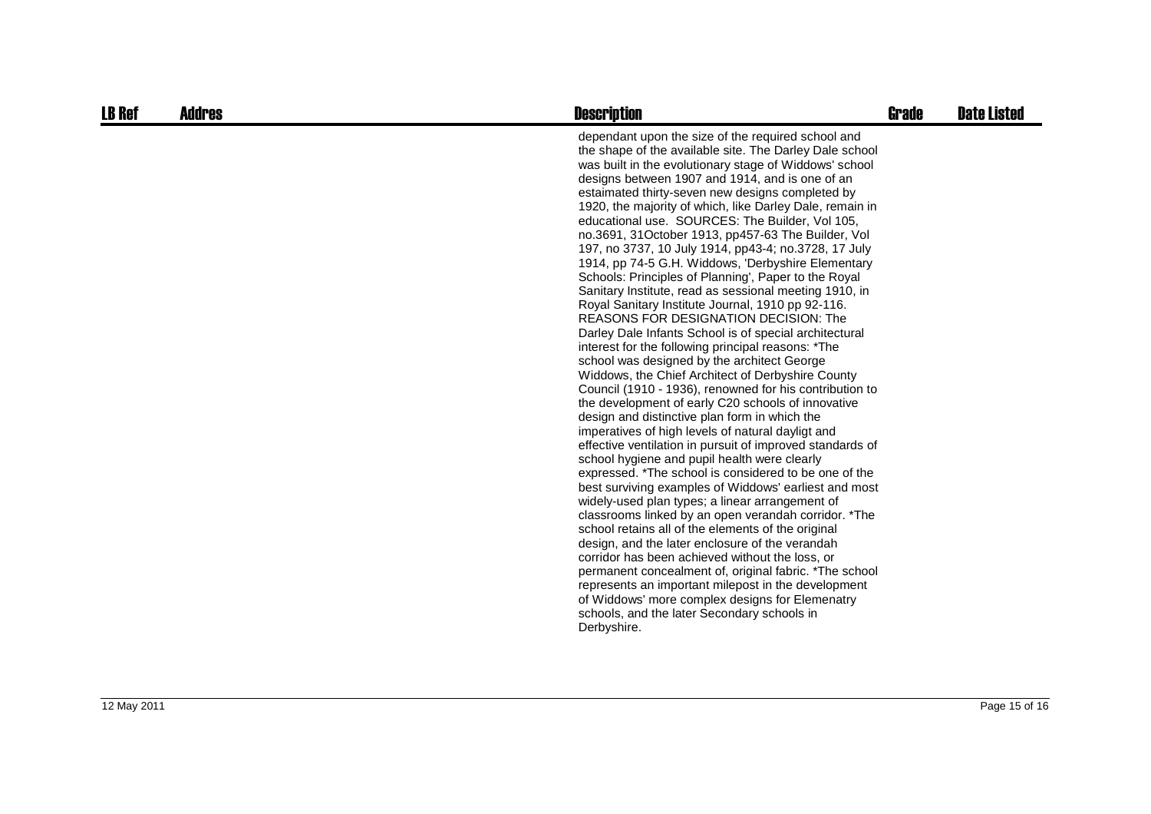| <b>LB Ref</b> | <b>Addres</b> | <b>Description</b>                                                                                                                                                                                                                                                                                                                                                                                                                                                                                                                                                                                                                                                                                                                                                                                                                                                                                                                                                                                                                                                                                                                                                                                                                                                                                                                                                                                                                                                                                                                                                                                                                                                                                                                                                                                                                                                                                                                                    | Grade | <b>Date Listed</b> |
|---------------|---------------|-------------------------------------------------------------------------------------------------------------------------------------------------------------------------------------------------------------------------------------------------------------------------------------------------------------------------------------------------------------------------------------------------------------------------------------------------------------------------------------------------------------------------------------------------------------------------------------------------------------------------------------------------------------------------------------------------------------------------------------------------------------------------------------------------------------------------------------------------------------------------------------------------------------------------------------------------------------------------------------------------------------------------------------------------------------------------------------------------------------------------------------------------------------------------------------------------------------------------------------------------------------------------------------------------------------------------------------------------------------------------------------------------------------------------------------------------------------------------------------------------------------------------------------------------------------------------------------------------------------------------------------------------------------------------------------------------------------------------------------------------------------------------------------------------------------------------------------------------------------------------------------------------------------------------------------------------------|-------|--------------------|
|               |               | dependant upon the size of the required school and<br>the shape of the available site. The Darley Dale school<br>was built in the evolutionary stage of Widdows' school<br>designs between 1907 and 1914, and is one of an<br>estaimated thirty-seven new designs completed by<br>1920, the majority of which, like Darley Dale, remain in<br>educational use. SOURCES: The Builder, Vol 105,<br>no.3691, 31October 1913, pp457-63 The Builder, Vol<br>197, no 3737, 10 July 1914, pp43-4; no.3728, 17 July<br>1914, pp 74-5 G.H. Widdows, 'Derbyshire Elementary<br>Schools: Principles of Planning', Paper to the Royal<br>Sanitary Institute, read as sessional meeting 1910, in<br>Royal Sanitary Institute Journal, 1910 pp 92-116.<br>REASONS FOR DESIGNATION DECISION: The<br>Darley Dale Infants School is of special architectural<br>interest for the following principal reasons: *The<br>school was designed by the architect George<br>Widdows, the Chief Architect of Derbyshire County<br>Council (1910 - 1936), renowned for his contribution to<br>the development of early C20 schools of innovative<br>design and distinctive plan form in which the<br>imperatives of high levels of natural dayligt and<br>effective ventilation in pursuit of improved standards of<br>school hygiene and pupil health were clearly<br>expressed. *The school is considered to be one of the<br>best surviving examples of Widdows' earliest and most<br>widely-used plan types; a linear arrangement of<br>classrooms linked by an open verandah corridor. *The<br>school retains all of the elements of the original<br>design, and the later enclosure of the verandah<br>corridor has been achieved without the loss, or<br>permanent concealment of, original fabric. *The school<br>represents an important milepost in the development<br>of Widdows' more complex designs for Elemenatry<br>schools, and the later Secondary schools in |       |                    |
|               |               | Derbyshire.                                                                                                                                                                                                                                                                                                                                                                                                                                                                                                                                                                                                                                                                                                                                                                                                                                                                                                                                                                                                                                                                                                                                                                                                                                                                                                                                                                                                                                                                                                                                                                                                                                                                                                                                                                                                                                                                                                                                           |       |                    |